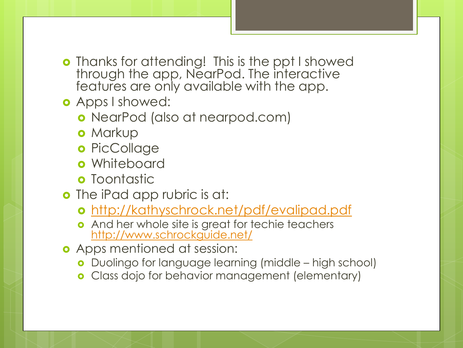- **o** Thanks for attending! This is the ppt I showed through the app, NearPod. The interactive features are only available with the app.
- **o** Apps I showed:
	- NearPod (also at nearpod.com)
	- **o** Markup
	- o PicCollage
	- **o** Whiteboard
	- **o** Toontastic
- **o** The iPad app rubric is at:
	- <http://kathyschrock.net/pdf/evalipad.pdf>
	- **o** And her whole site is great for techie teachers <http://www.schrockguide.net/>
- **o** Apps mentioned at session:
	- **o** Duolingo for language learning (middle high school)
	- Class dojo for behavior management (elementary)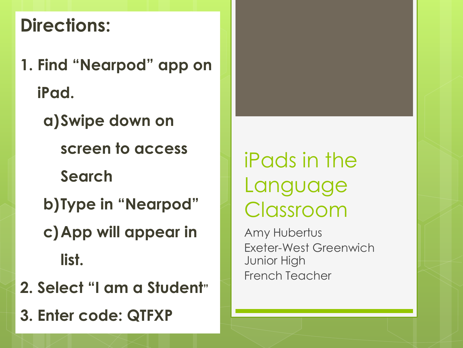#### **Directions:**

- **1. Find "Nearpod" app on iPad.**
	- **a)Swipe down on screen to access Search**
	- **b)Type in "Nearpod"**
	- **c)App will appear in list.**
- **2. Select "I am a Student"**
- **3. Enter code: QTFXP**

iPads in the Language Classroom

Amy Hubertus Exeter-West Greenwich Junior High French Teacher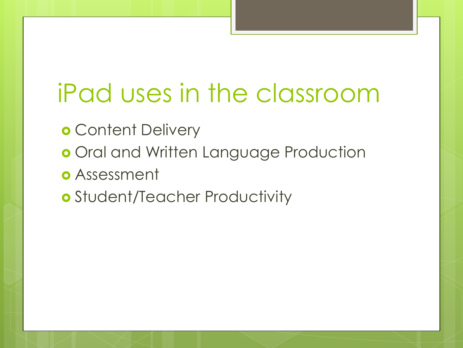## iPad uses in the classroom

- **o** Content Delivery
- o Oral and Written Language Production
- Assessment
- Student/Teacher Productivity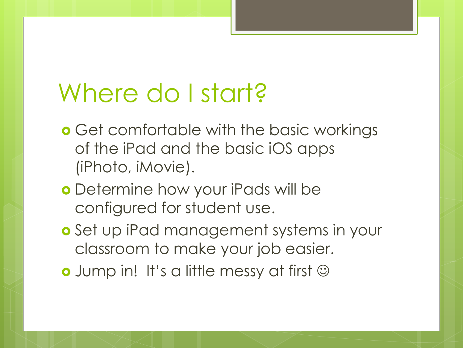### Where do I start?

- **o** Get comfortable with the basic workings of the iPad and the basic iOS apps (iPhoto, iMovie).
- Determine how your iPads will be configured for student use.
- Set up iPad management systems in your classroom to make your job easier.
- **o** Jump in! It's a little messy at first  $\odot$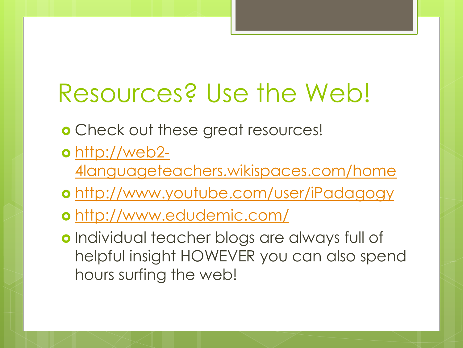### Resources? Use the Web!

- Check out these great resources!
- [http://web2-](http://web2-4languageteachers.wikispaces.com/home)
	- [4languageteachers.wikispaces.com/home](http://web2-4languageteachers.wikispaces.com/home)
- <http://www.youtube.com/user/iPadagogy>
- <http://www.edudemic.com/>
- **o** Individual teacher blogs are always full of helpful insight HOWEVER you can also spend hours surfing the web!